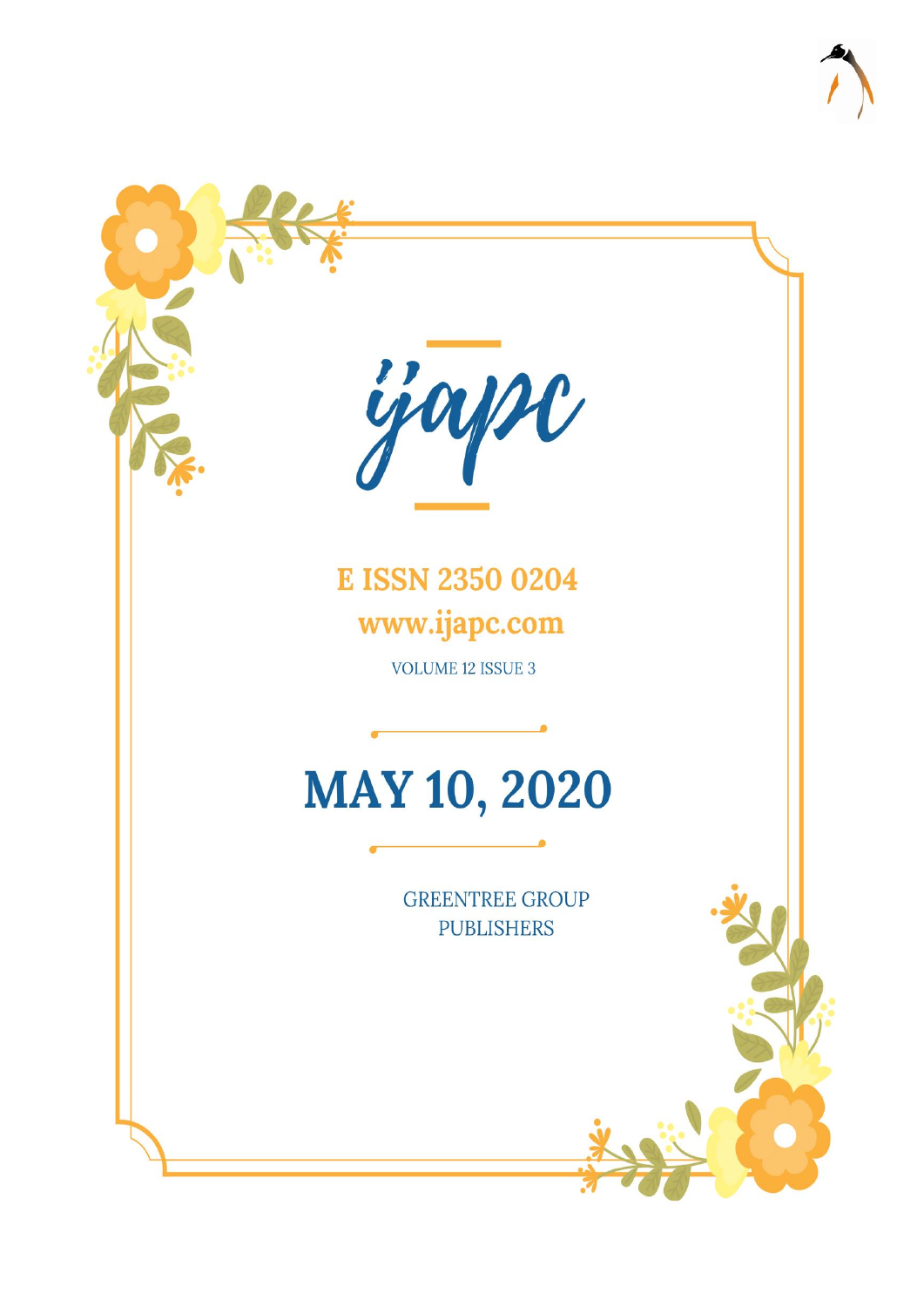

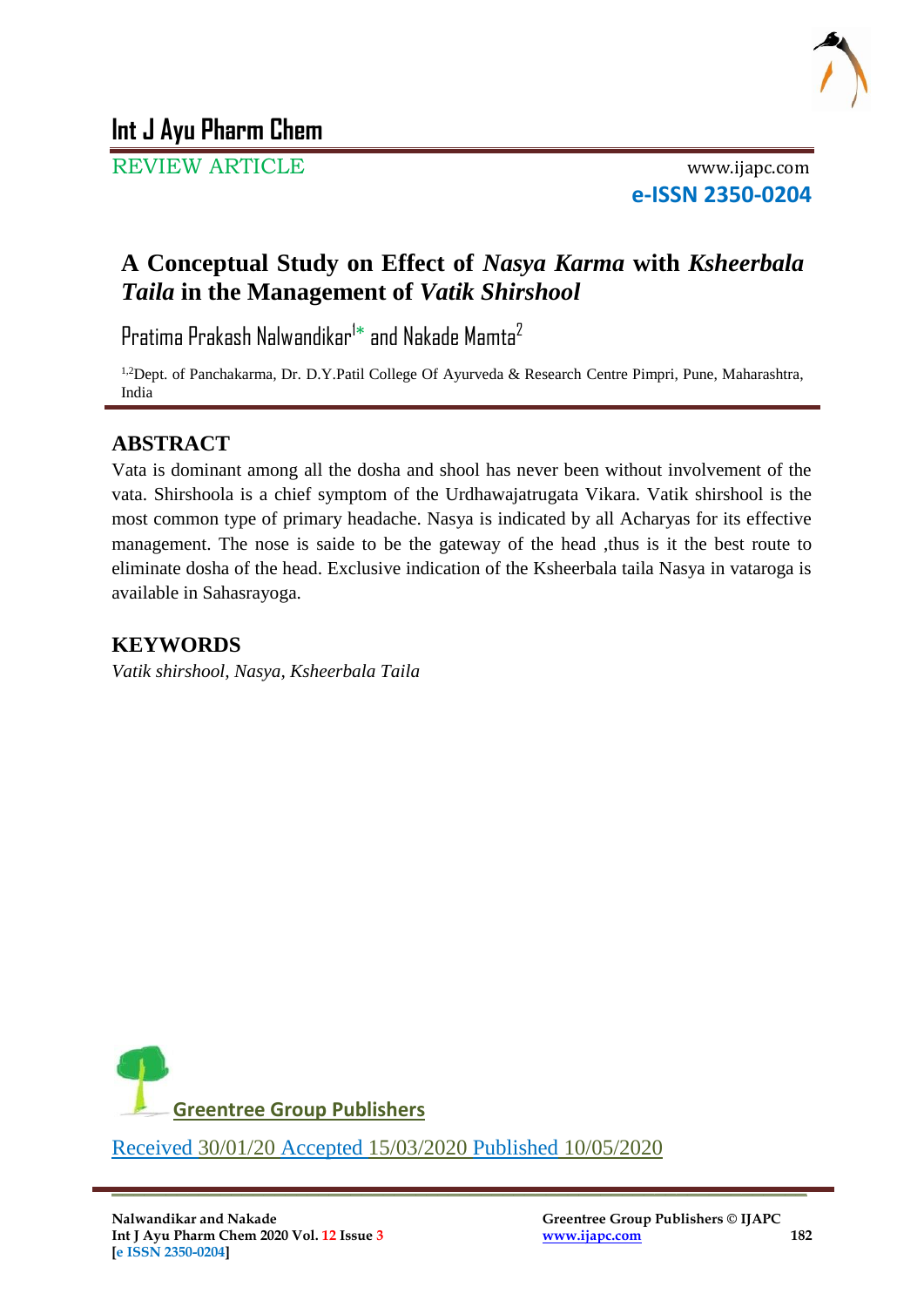

# **Int J Ayu Pharm Chem**

REVIEW ARTICLE www.ijapc.com

**e-ISSN 2350-0204**

# **A Conceptual Study on Effect of** *Nasya Karma* **with** *Ksheerbala Taila* **in the Management of** *Vatik Shirshool*

Pratima Prakash Nalwandikar $^{\dagger *}$  and Nakade Mamta $^{\dagger}$ 

<sup>1,2</sup>Dept. of Panchakarma, Dr. D.Y.Patil College Of Ayurveda & Research Centre Pimpri, Pune, Maharashtra, India

## **ABSTRACT**

Vata is dominant among all the dosha and shool has never been without involvement of the vata. Shirshoola is a chief symptom of the Urdhawajatrugata Vikara. Vatik shirshool is the most common type of primary headache. Nasya is indicated by all Acharyas for its effective management. The nose is saide to be the gateway of the head, thus is it the best route to eliminate dosha of the head. Exclusive indication of the Ksheerbala taila Nasya in vataroga is available in Sahasrayoga.

### **KEYWORDS**

*Vatik shirshool, Nasya, Ksheerbala Taila*



 $\overline{\phantom{a}}$  , and the contribution of the contribution of the contribution of the contribution of the contribution of the contribution of the contribution of the contribution of the contribution of the contribution of the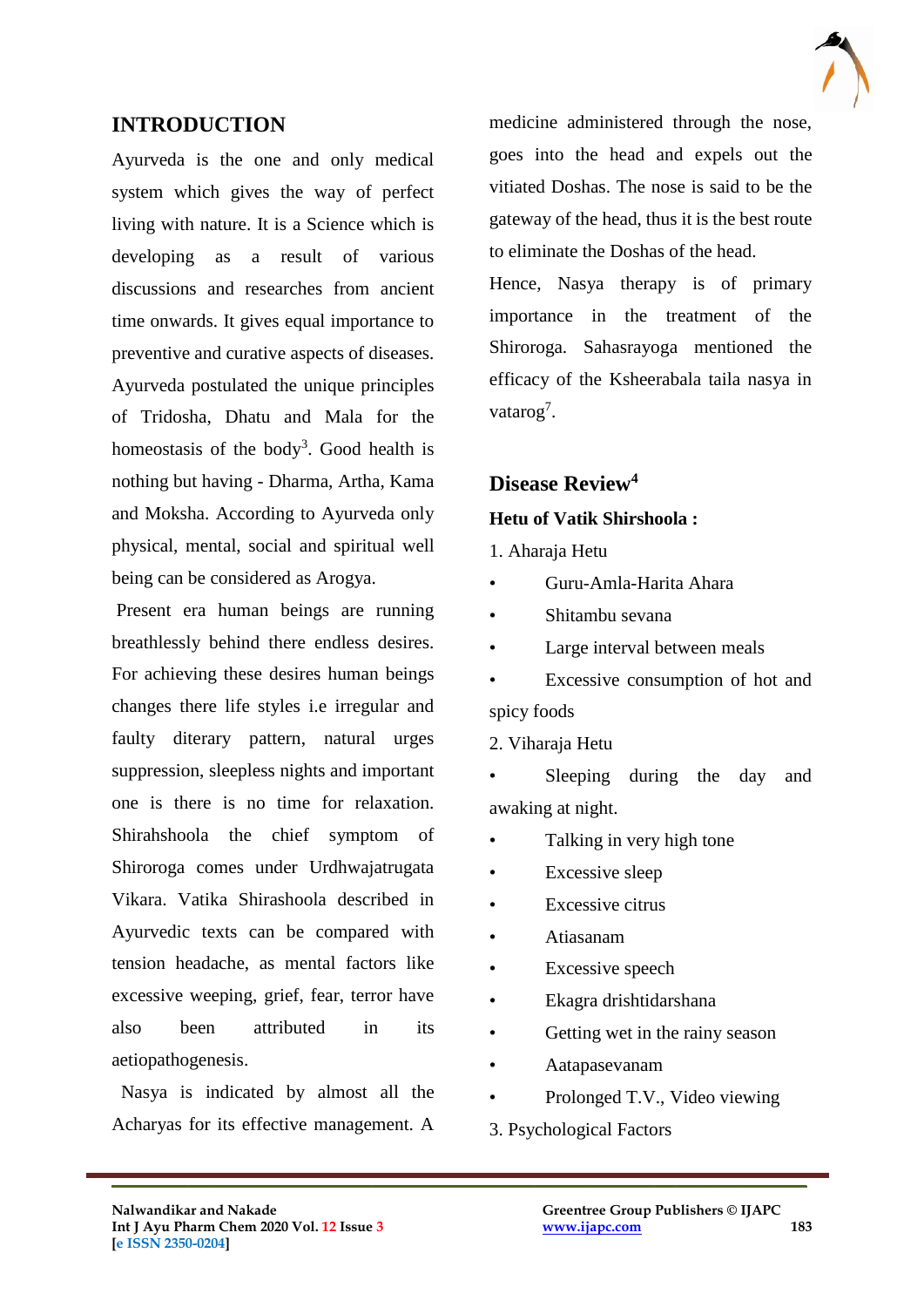

#### **INTRODUCTION**

Ayurveda is the one and only medical system which gives the way of perfect living with nature. It is a Science which is developing as a result of various discussions and researches from ancient time onwards. It gives equal importance to preventive and curative aspects of diseases. Ayurveda postulated the unique principles of Tridosha, Dhatu and Mala for the homeostasis of the body<sup>3</sup>. Good health is nothing but having - Dharma, Artha, Kama and Moksha. According to Ayurveda only physical, mental, social and spiritual well being can be considered as Arogya.

Present era human beings are running breathlessly behind there endless desires. For achieving these desires human beings changes there life styles i.e irregular and faulty diterary pattern, natural urges suppression, sleepless nights and important one is there is no time for relaxation. Shirahshoola the chief symptom of Shiroroga comes under Urdhwajatrugata Vikara. Vatika Shirashoola described in Ayurvedic texts can be compared with tension headache, as mental factors like excessive weeping, grief, fear, terror have also been attributed in its aetiopathogenesis.

 Nasya is indicated by almost all the Acharyas for its effective management. A medicine administered through the nose, goes into the head and expels out the vitiated Doshas. The nose is said to be the gateway of the head, thus it is the best route to eliminate the Doshas of the head.

Hence, Nasya therapy is of primary importance in the treatment of the Shiroroga. Sahasrayoga mentioned the efficacy of the Ksheerabala taila nasya in vatarog<sup>7</sup>.

## **Disease Review<sup>4</sup> Hetu of Vatik Shirshoola :**

# 1. Aharaja Hetu

- Guru-Amla-Harita Ahara
- Shitambu sevana
- Large interval between meals
- Excessive consumption of hot and spicy foods
- 2. Viharaja Hetu

Sleeping during the day and awaking at night.

- Talking in very high tone
- Excessive sleep
- Excessive citrus
- Atiasanam
- Excessive speech
- Ekagra drishtidarshana
- Getting wet in the rainy season
- Aatapasevanam
- Prolonged T.V., Video viewing
- 3. Psychological Factors

 $\mathcal{L}_\mathcal{L}$  , and the contribution of the contribution of the contribution of the contribution of the contribution of the contribution of the contribution of the contribution of the contribution of the contribution of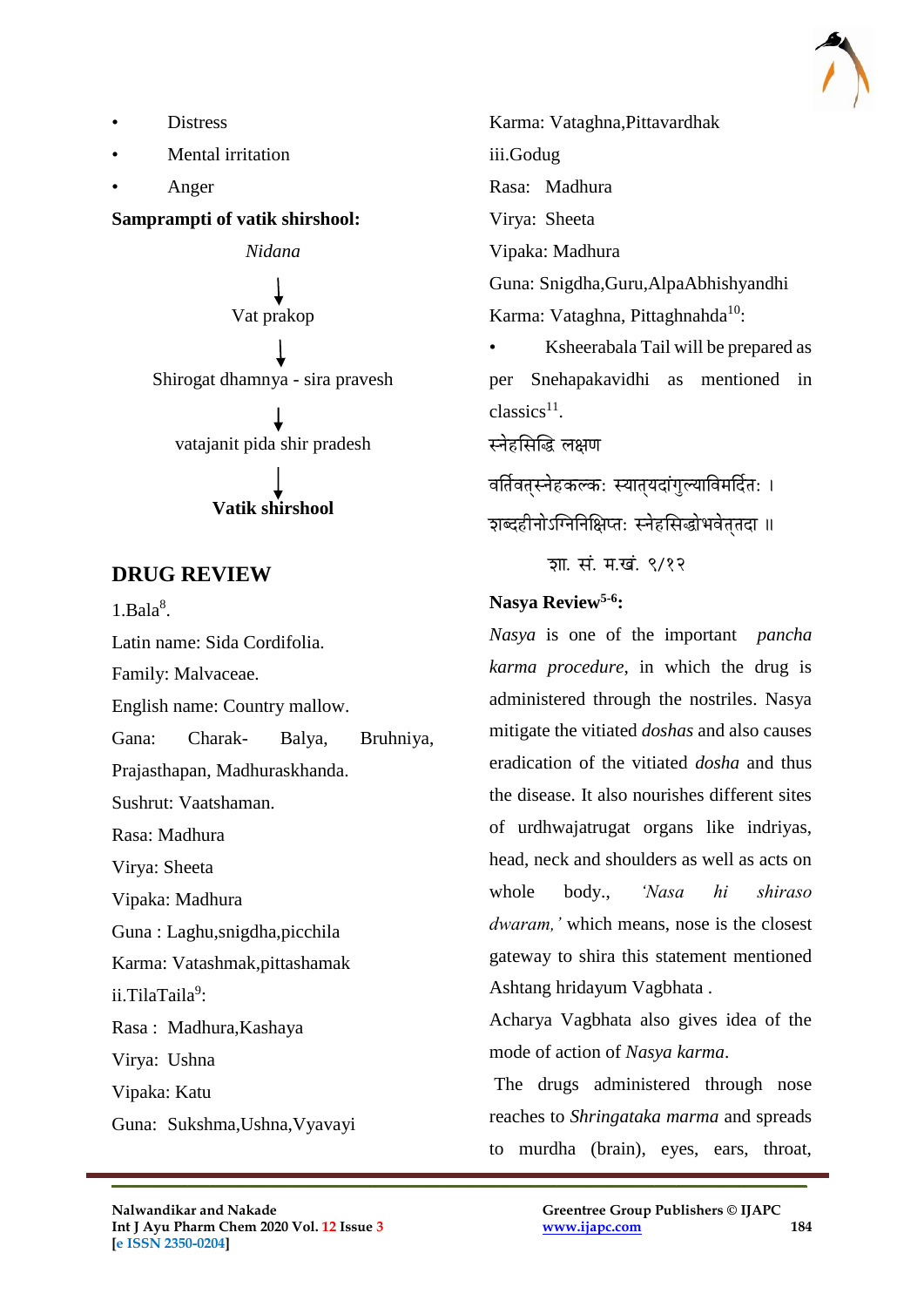

- **Distress**
- Mental irritation
- Anger

**Samprampti of vatik shirshool:**

*Nidana* Vat prakop Shirogat dhamnya - sira pravesh vatajanit pida shir pradesh **Vatik shirshool**

#### **DRUG REVIEW**

 $1.Bala<sup>8</sup>$ .

Latin name: Sida Cordifolia.

Family: Malvaceae.

English name: Country mallow.

Gana: Charak- Balya, Bruhniya,

Prajasthapan, Madhuraskhanda.

Sushrut: Vaatshaman.

Rasa: Madhura

Virya: Sheeta

Vipaka: Madhura

Guna : Laghu,snigdha,picchila

Karma: Vatashmak,pittashamak

ii.TilaTaila<sup>9</sup>:

Rasa : Madhura,Kashaya

Virya: Ushna

Vipaka: Katu

Guna: Sukshma,Ushna,Vyavayi

Karma: Vataghna,Pittavardhak iii.Godug Rasa: Madhura Virya: Sheeta Vipaka: Madhura Guna: Snigdha,Guru,AlpaAbhishyandhi Karma: Vataghna, Pittaghnahda $^{10}$ : • Ksheerabala Tail will be prepared as

per Snehapakavidhi as mentioned in  $classics<sup>11</sup>$ .

स्नेहसिद्धि लक्षण

वर्तिवतस्नेहकल्कः स्यात्**यदांगुल्याविमर्दितः** ।

शब्दहीनोऽग्निनिक्षिप्त: स्नेहसिद्धोभवेततदा ॥

ञा. सं. म.खं. ९/१२

#### **Nasya Review5-6 :**

*Nasya* is one of the important *pancha karma procedure*, in which the drug is administered through the nostriles. Nasya mitigate the vitiated *doshas* and also causes eradication of the vitiated *dosha* and thus the disease. It also nourishes different sites of urdhwajatrugat organs like indriyas, head, neck and shoulders as well as acts on whole body., *'Nasa hi shiraso dwaram,'* which means, nose is the closest gateway to shira this statement mentioned Ashtang hridayum Vagbhata .

Acharya Vagbhata also gives idea of the mode of action of *Nasya karma*.

The drugs administered through nose reaches to *Shringataka marma* and spreads to murdha (brain), eyes, ears, throat,

 $\mathcal{L}_\mathcal{L}$  , and the contribution of the contribution of the contribution of the contribution of the contribution of the contribution of the contribution of the contribution of the contribution of the contribution of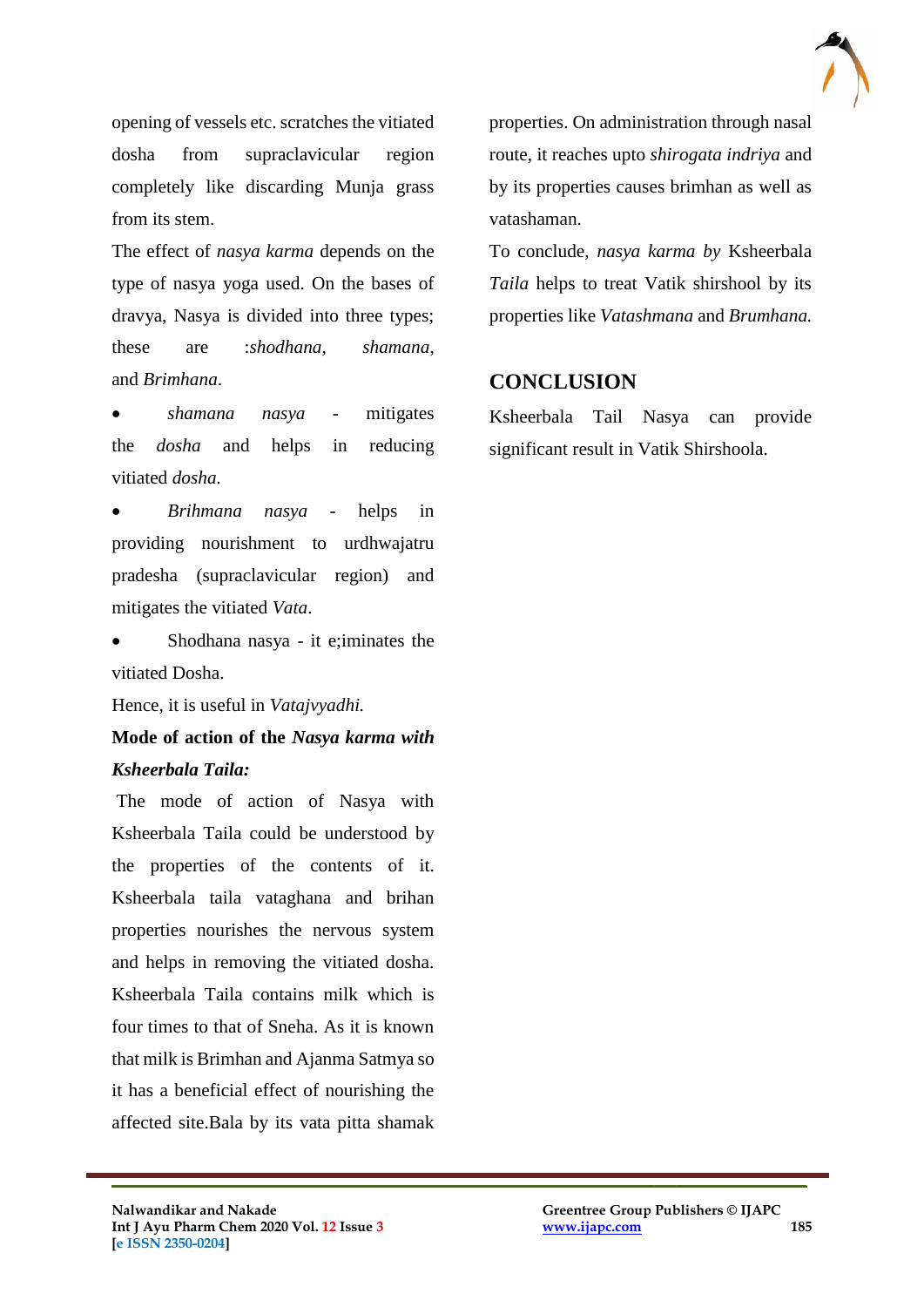

opening of vessels etc. scratches the vitiated dosha from supraclavicular region completely like discarding Munja grass from its stem.

The effect of *nasya karma* depends on the type of nasya yoga used. On the bases of dravya, Nasya is divided into three types; these are :*shodhana, shamana*, and *Brimhana*.

 *shamana nasya* - mitigates the *dosha* and helps in reducing vitiated *dosha.*

 *Brihmana nasya -* helps in providing nourishment to urdhwajatru pradesha (supraclavicular region) and mitigates the vitiated *Vata*.

 Shodhana nasya - it e;iminates the vitiated Dosha.

Hence, it is useful in *Vatajvyadhi.*

## **Mode of action of the** *Nasya karma with Ksheerbala Taila:*

The mode of action of Nasya with Ksheerbala Taila could be understood by the properties of the contents of it. Ksheerbala taila vataghana and brihan properties nourishes the nervous system and helps in removing the vitiated dosha. Ksheerbala Taila contains milk which is four times to that of Sneha. As it is known that milk is Brimhan and Ajanma Satmya so it has a beneficial effect of nourishing the affected site.Bala by its vata pitta shamak properties. On administration through nasal route, it reaches upto *shirogata indriya* and by its properties causes brimhan as well as vatashaman.

To conclude, *nasya karma by* Ksheerbala *Taila* helps to treat Vatik shirshool by its properties like *Vatashmana* and *Brumhana.* 

#### **CONCLUSION**

Ksheerbala Tail Nasya can provide significant result in Vatik Shirshoola.

 $\mathcal{L}_\mathcal{L}$  , and the contribution of the contribution of the contribution of the contribution of the contribution of the contribution of the contribution of the contribution of the contribution of the contribution of